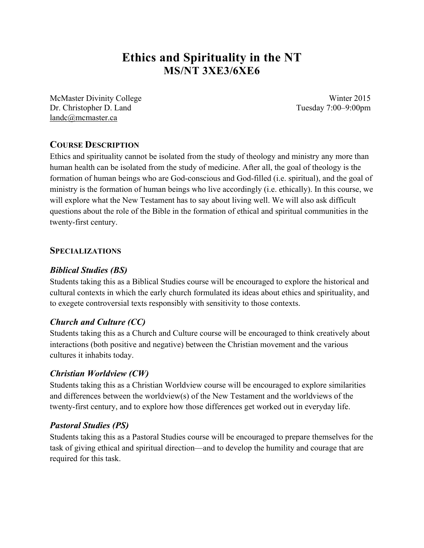# **Ethics and Spirituality in the NT MS/NT 3XE3/6XE6**

McMaster Divinity College Winter 2015 Dr. Christopher D. Land Tuesday 7:00–9:00pm landc@mcmaster.ca

## **COURSE DESCRIPTION**

Ethics and spirituality cannot be isolated from the study of theology and ministry any more than human health can be isolated from the study of medicine. After all, the goal of theology is the formation of human beings who are God-conscious and God-filled (i.e. spiritual), and the goal of ministry is the formation of human beings who live accordingly (i.e. ethically). In this course, we will explore what the New Testament has to say about living well. We will also ask difficult questions about the role of the Bible in the formation of ethical and spiritual communities in the twenty-first century.

## **SPECIALIZATIONS**

## *Biblical Studies (BS)*

Students taking this as a Biblical Studies course will be encouraged to explore the historical and cultural contexts in which the early church formulated its ideas about ethics and spirituality, and to exegete controversial texts responsibly with sensitivity to those contexts.

#### *Church and Culture (CC)*

Students taking this as a Church and Culture course will be encouraged to think creatively about interactions (both positive and negative) between the Christian movement and the various cultures it inhabits today.

#### *Christian Worldview (CW)*

Students taking this as a Christian Worldview course will be encouraged to explore similarities and differences between the worldview(s) of the New Testament and the worldviews of the twenty-first century, and to explore how those differences get worked out in everyday life.

## *Pastoral Studies (PS)*

Students taking this as a Pastoral Studies course will be encouraged to prepare themselves for the task of giving ethical and spiritual direction—and to develop the humility and courage that are required for this task.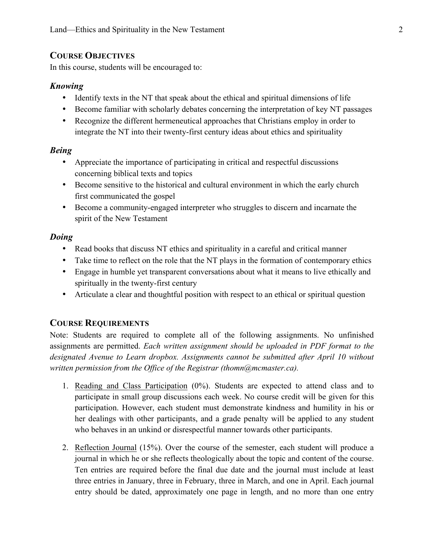## **COURSE OBJECTIVES**

In this course, students will be encouraged to:

#### *Knowing*

- Identify texts in the NT that speak about the ethical and spiritual dimensions of life
- Become familiar with scholarly debates concerning the interpretation of key NT passages
- Recognize the different hermeneutical approaches that Christians employ in order to integrate the NT into their twenty-first century ideas about ethics and spirituality

## *Being*

- Appreciate the importance of participating in critical and respectful discussions concerning biblical texts and topics
- Become sensitive to the historical and cultural environment in which the early church first communicated the gospel
- Become a community-engaged interpreter who struggles to discern and incarnate the spirit of the New Testament

## *Doing*

- Read books that discuss NT ethics and spirituality in a careful and critical manner
- Take time to reflect on the role that the NT plays in the formation of contemporary ethics
- Engage in humble yet transparent conversations about what it means to live ethically and spiritually in the twenty-first century
- Articulate a clear and thoughtful position with respect to an ethical or spiritual question

# **COURSE REQUIREMENTS**

Note: Students are required to complete all of the following assignments. No unfinished assignments are permitted. *Each written assignment should be uploaded in PDF format to the designated Avenue to Learn dropbox. Assignments cannot be submitted after April 10 without written permission from the Office of the Registrar (thomn@mcmaster.ca).*

- 1. Reading and Class Participation (0%). Students are expected to attend class and to participate in small group discussions each week. No course credit will be given for this participation. However, each student must demonstrate kindness and humility in his or her dealings with other participants, and a grade penalty will be applied to any student who behaves in an unkind or disrespectful manner towards other participants.
- 2. Reflection Journal (15%). Over the course of the semester, each student will produce a journal in which he or she reflects theologically about the topic and content of the course. Ten entries are required before the final due date and the journal must include at least three entries in January, three in February, three in March, and one in April. Each journal entry should be dated, approximately one page in length, and no more than one entry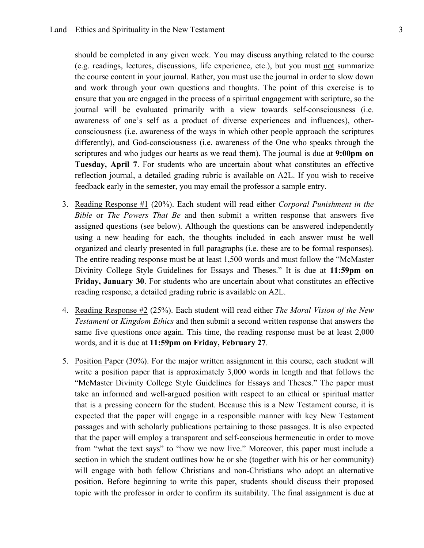should be completed in any given week. You may discuss anything related to the course (e.g. readings, lectures, discussions, life experience, etc.), but you must not summarize the course content in your journal. Rather, you must use the journal in order to slow down and work through your own questions and thoughts. The point of this exercise is to ensure that you are engaged in the process of a spiritual engagement with scripture, so the journal will be evaluated primarily with a view towards self-consciousness (i.e. awareness of one's self as a product of diverse experiences and influences), otherconsciousness (i.e. awareness of the ways in which other people approach the scriptures differently), and God-consciousness (i.e. awareness of the One who speaks through the scriptures and who judges our hearts as we read them). The journal is due at **9:00pm on Tuesday, April 7**. For students who are uncertain about what constitutes an effective reflection journal, a detailed grading rubric is available on A2L. If you wish to receive feedback early in the semester, you may email the professor a sample entry.

- 3. Reading Response #1 (20%). Each student will read either *Corporal Punishment in the Bible* or *The Powers That Be* and then submit a written response that answers five assigned questions (see below). Although the questions can be answered independently using a new heading for each, the thoughts included in each answer must be well organized and clearly presented in full paragraphs (i.e. these are to be formal responses). The entire reading response must be at least 1,500 words and must follow the "McMaster Divinity College Style Guidelines for Essays and Theses." It is due at **11:59pm on Friday, January 30**. For students who are uncertain about what constitutes an effective reading response, a detailed grading rubric is available on A2L.
- 4. Reading Response #2 (25%). Each student will read either *The Moral Vision of the New Testament* or *Kingdom Ethics* and then submit a second written response that answers the same five questions once again. This time, the reading response must be at least 2,000 words, and it is due at **11:59pm on Friday, February 27**.
- 5. Position Paper (30%). For the major written assignment in this course, each student will write a position paper that is approximately 3,000 words in length and that follows the "McMaster Divinity College Style Guidelines for Essays and Theses." The paper must take an informed and well-argued position with respect to an ethical or spiritual matter that is a pressing concern for the student. Because this is a New Testament course, it is expected that the paper will engage in a responsible manner with key New Testament passages and with scholarly publications pertaining to those passages. It is also expected that the paper will employ a transparent and self-conscious hermeneutic in order to move from "what the text says" to "how we now live." Moreover, this paper must include a section in which the student outlines how he or she (together with his or her community) will engage with both fellow Christians and non-Christians who adopt an alternative position. Before beginning to write this paper, students should discuss their proposed topic with the professor in order to confirm its suitability. The final assignment is due at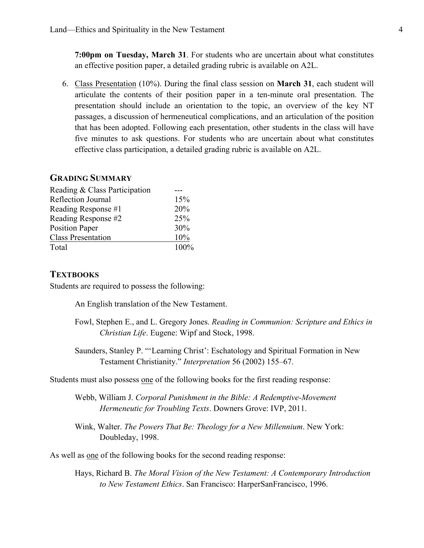**7:00pm on Tuesday, March 31**. For students who are uncertain about what constitutes an effective position paper, a detailed grading rubric is available on A2L.

6. Class Presentation (10%). During the final class session on **March 31**, each student will articulate the contents of their position paper in a ten-minute oral presentation. The presentation should include an orientation to the topic, an overview of the key NT passages, a discussion of hermeneutical complications, and an articulation of the position that has been adopted. Following each presentation, other students in the class will have five minutes to ask questions. For students who are uncertain about what constitutes effective class participation, a detailed grading rubric is available on A2L.

#### **GRADING SUMMARY**

| Reading & Class Participation |         |
|-------------------------------|---------|
| Reflection Journal            | 15%     |
| Reading Response #1           | 20%     |
| Reading Response #2           | 25%     |
| <b>Position Paper</b>         | 30%     |
| <b>Class Presentation</b>     | 10%     |
| Total                         | $100\%$ |
|                               |         |

#### **TEXTBOOKS**

Students are required to possess the following:

An English translation of the New Testament.

- Fowl, Stephen E., and L. Gregory Jones. *Reading in Communion: Scripture and Ethics in Christian Life*. Eugene: Wipf and Stock, 1998.
- Saunders, Stanley P. "'Learning Christ': Eschatology and Spiritual Formation in New Testament Christianity." *Interpretation* 56 (2002) 155–67.

Students must also possess one of the following books for the first reading response:

Webb, William J. *Corporal Punishment in the Bible: A Redemptive-Movement Hermeneutic for Troubling Texts*. Downers Grove: IVP, 2011.

Wink, Walter. *The Powers That Be: Theology for a New Millennium*. New York: Doubleday, 1998.

As well as one of the following books for the second reading response:

Hays, Richard B. *The Moral Vision of the New Testament: A Contemporary Introduction to New Testament Ethics*. San Francisco: HarperSanFrancisco, 1996.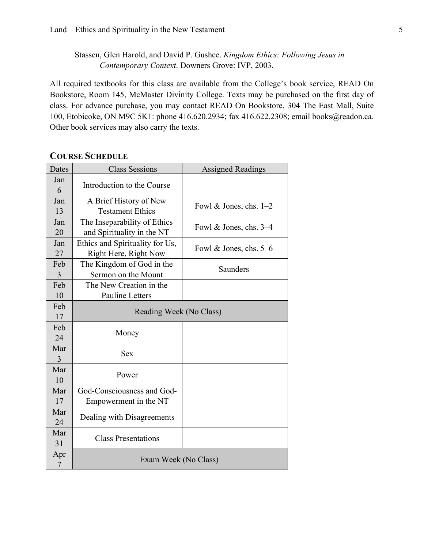Stassen, Glen Harold, and David P. Gushee. *Kingdom Ethics: Following Jesus in Contemporary Context*. Downers Grove: IVP, 2003.

All required textbooks for this class are available from the College's book service, READ On Bookstore, Room 145, McMaster Divinity College. Texts may be purchased on the first day of class. For advance purchase, you may contact READ On Bookstore, 304 The East Mall, Suite 100, Etobicoke, ON M9C 5K1: phone 416.620.2934; fax 416.622.2308; email books@readon.ca. Other book services may also carry the texts.

## **COURSE SCHEDULE**

| Dates                 | <b>Class Sessions</b>                                      | <b>Assigned Readings</b> |
|-----------------------|------------------------------------------------------------|--------------------------|
| Jan<br>6              | Introduction to the Course                                 |                          |
| Jan<br>13             | A Brief History of New<br><b>Testament Ethics</b>          | Fowl & Jones, chs. $1-2$ |
| Jan<br>20             | The Inseparability of Ethics<br>and Spirituality in the NT | Fowl & Jones, chs. $3-4$ |
| Jan<br>27             | Ethics and Spirituality for Us,<br>Right Here, Right Now   | Fowl & Jones, chs. $5-6$ |
| Feb<br>$\overline{3}$ | The Kingdom of God in the<br>Sermon on the Mount           | Saunders                 |
| Feb<br>10             | The New Creation in the<br><b>Pauline Letters</b>          |                          |
| Feb<br>17             | Reading Week (No Class)                                    |                          |
| Feb<br>24             | Money                                                      |                          |
| Mar<br>3              | <b>Sex</b>                                                 |                          |
| Mar<br>10             | Power                                                      |                          |
| Mar<br>17             | God-Consciousness and God-<br>Empowerment in the NT        |                          |
| Mar<br>24             | Dealing with Disagreements                                 |                          |
| Mar<br>31             | <b>Class Presentations</b>                                 |                          |
| Apr<br>$\overline{7}$ | Exam Week (No Class)                                       |                          |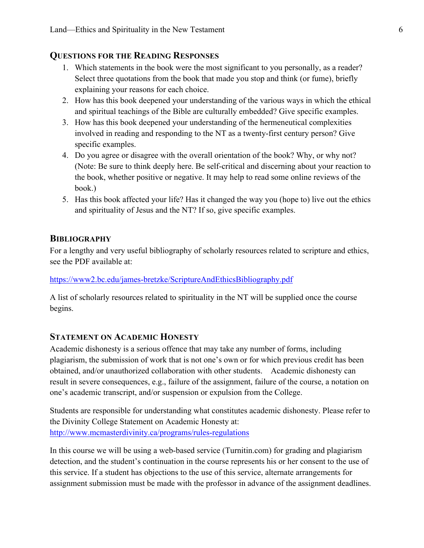## **QUESTIONS FOR THE READING RESPONSES**

- 1. Which statements in the book were the most significant to you personally, as a reader? Select three quotations from the book that made you stop and think (or fume), briefly explaining your reasons for each choice.
- 2. How has this book deepened your understanding of the various ways in which the ethical and spiritual teachings of the Bible are culturally embedded? Give specific examples.
- 3. How has this book deepened your understanding of the hermeneutical complexities involved in reading and responding to the NT as a twenty-first century person? Give specific examples.
- 4. Do you agree or disagree with the overall orientation of the book? Why, or why not? (Note: Be sure to think deeply here. Be self-critical and discerning about your reaction to the book, whether positive or negative. It may help to read some online reviews of the book.)
- 5. Has this book affected your life? Has it changed the way you (hope to) live out the ethics and spirituality of Jesus and the NT? If so, give specific examples.

## **BIBLIOGRAPHY**

For a lengthy and very useful bibliography of scholarly resources related to scripture and ethics, see the PDF available at:

https://www2.bc.edu/james-bretzke/ScriptureAndEthicsBibliography.pdf

A list of scholarly resources related to spirituality in the NT will be supplied once the course begins.

## **STATEMENT ON ACADEMIC HONESTY**

Academic dishonesty is a serious offence that may take any number of forms, including plagiarism, the submission of work that is not one's own or for which previous credit has been obtained, and/or unauthorized collaboration with other students. Academic dishonesty can result in severe consequences, e.g., failure of the assignment, failure of the course, a notation on one's academic transcript, and/or suspension or expulsion from the College.

Students are responsible for understanding what constitutes academic dishonesty. Please refer to the Divinity College Statement on Academic Honesty at: http://www.mcmasterdivinity.ca/programs/rules-regulations

In this course we will be using a web-based service (Turnitin.com) for grading and plagiarism detection, and the student's continuation in the course represents his or her consent to the use of this service. If a student has objections to the use of this service, alternate arrangements for assignment submission must be made with the professor in advance of the assignment deadlines.